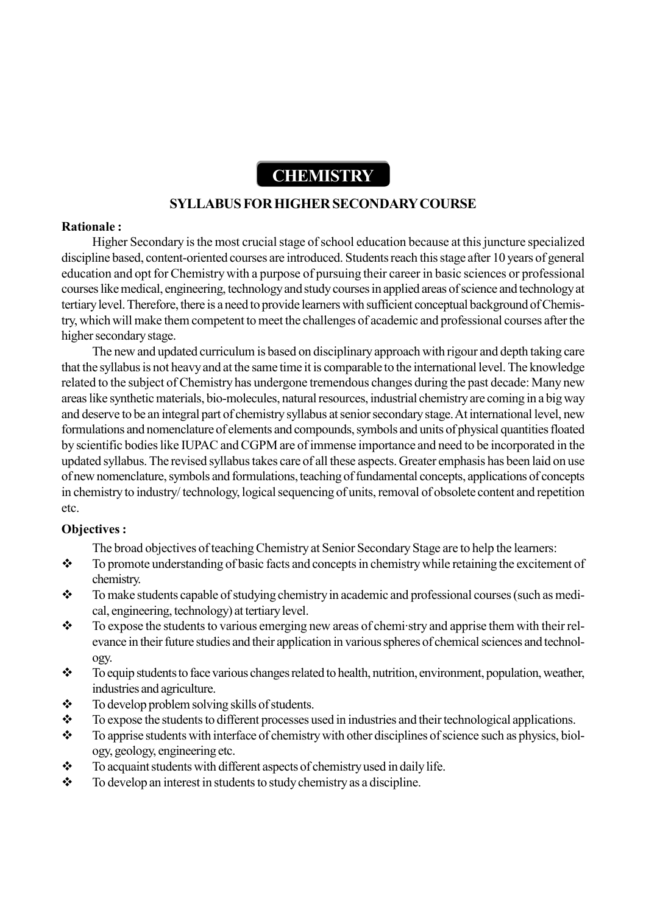# **CHEMISTRY**

#### **SYLLABUS FOR HIGHER SECONDARY COURSE**

#### **Rationale :**

Higher Secondary is the most crucial stage of school education because at this juncture specialized discipline based, content-oriented courses are introduced. Students reach this stage after 10 years of general education and opt for Chemistry with a purpose of pursuing their career in basic sciences or professional courses like medical, engineering, technology and study courses in applied areas of science and technology at tertiary level. Therefore, there is a need to provide learners with sufficient conceptual background of Chemistry, which will make them competent to meet the challenges of academic and professional courses after the higher secondary stage.

The new and updated curriculum is based on disciplinary approach with rigour and depth taking care that the syllabus is not heavy and at the same time it is comparable to the international level. The knowledge related to the subject of Chemistry has undergone tremendous changes during the past decade: Many new areas like synthetic materials, bio-molecules, natural resources, industrial chemistry are coming in a big way and deserve to be an integral part of chemistry syllabus at senior secondary stage. At international level, new formulations and nomenclature of elements and compounds, symbols and units of physical quantities floated by scientific bodies like IUPAC and CGPM are of immense importance and need to be incorporated in the updated syllabus. The revised syllabus takes care of all these aspects. Greater emphasis has been laid on use of new nomenclature, symbols and formulations, teaching of fundamental concepts, applications of concepts in chemistry to industry/ technology, logical sequencing of units, removal of obsolete content and repetition etc.

#### **Objectives :**

- The broad objectives of teaching Chemistry at Senior Secondary Stage are to help the learners:
- \* To promote understanding of basic facts and concepts in chemistry while retaining the excitement of chemistry.
- \* To make students capable of studying chemistry in academic and professional courses (such as medical, engineering, technology) at tertiary level.
- $\bullet$  To expose the students to various emerging new areas of chemistry and apprise them with their relevance in their future studies and their application in various spheres of chemical sciences and technology.
- \* To equip students to face various changes related to health, nutrition, environment, population, weather, industries and agriculture.
- \* To develop problem solving skills of students.
- $\bullet$  To expose the students to different processes used in industries and their technological applications.
- \* To apprise students with interface of chemistry with other disciplines of science such as physics, biology, geology, engineering etc.
- $\bullet$  To acquaint students with different aspects of chemistry used in daily life.
- $\div$  To develop an interest in students to study chemistry as a discipline.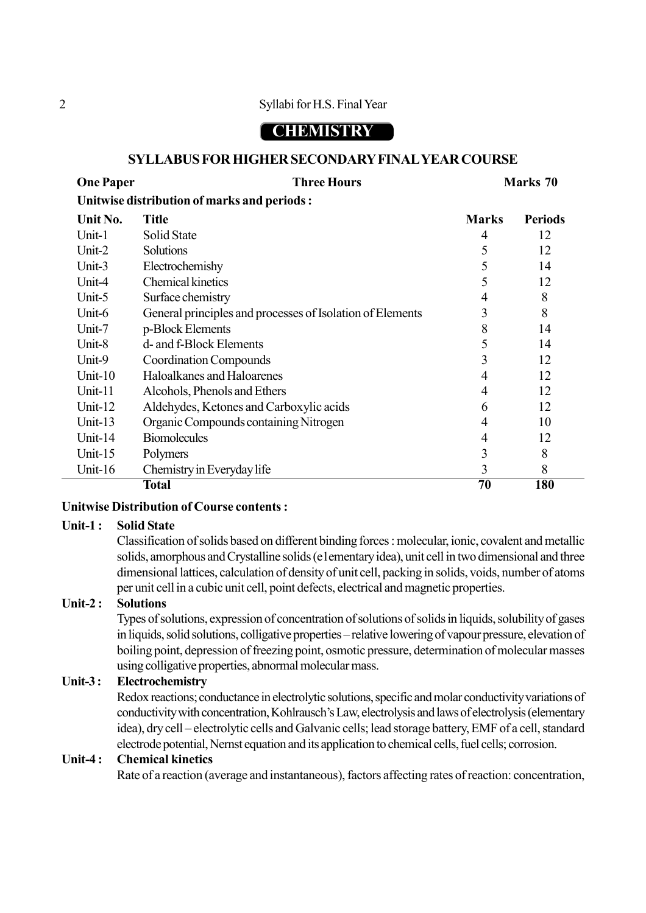# **CHEMISTRY**

#### **SYLLABUS FOR HIGHER SECONDARY FINAL YEAR COURSE**

| <b>One Paper</b>                             |                  | <b>Three Hours</b> |              | Marks 70       |  |  |
|----------------------------------------------|------------------|--------------------|--------------|----------------|--|--|
| Unitwise distribution of marks and periods : |                  |                    |              |                |  |  |
| Unit No.                                     | Title            |                    | <b>Marks</b> | <b>Periods</b> |  |  |
| Unit- $1$                                    | Solid State      |                    |              |                |  |  |
| Unit- $2$                                    | <b>Solutions</b> |                    | $\sim$       | 12             |  |  |

|                     | <b>Total</b>                                              | 70 | 180     |  |
|---------------------|-----------------------------------------------------------|----|---------|--|
| Unit- $16$          | Chemistry in Everyday life                                |    | 8       |  |
| Unit- $15$          | Polymers                                                  |    | 8       |  |
| Unit-14             | <b>Biomolecules</b>                                       | 4  | 12      |  |
| Unit- $13$          | Organic Compounds containing Nitrogen                     |    | 10      |  |
| Unit-12             | Aldehydes, Ketones and Carboxylic acids                   | 6  | 12      |  |
| Unit-11             | Alcohols, Phenols and Ethers                              | 4  | 12      |  |
| Unit- $10$          | Haloalkanes and Haloarenes                                |    | 12      |  |
| Unit-9              | <b>Coordination Compounds</b>                             |    | 12      |  |
| Unit-8              | d- and f-Block Elements                                   |    | 14      |  |
| Unit-7              | p-Block Elements                                          |    | 14      |  |
| Unit-6              | General principles and processes of Isolation of Elements |    | 8       |  |
| Unit-5              | Surface chemistry                                         | 4  | 8       |  |
| Unit-4              | <b>Chemical kinetics</b>                                  |    | 12      |  |
| Unit-3              | Electrochemishy                                           |    | 14      |  |
| \ <del>JHL-</del> ∠ | OURRENDI                                                  | J  | $\perp$ |  |

#### **Unitwise Distribution of Course contents :**

#### **Unit-1 : Solid State**

Classification of solids based on different binding forces : molecular, ionic, covalent and metallic solids, amorphous and Crystalline solids (e1ementary idea), unit cell in two dimensional and three dimensional lattices, calculation of density of unit cell, packing in solids, voids, number of atoms per unit cell in a cubic unit cell, point defects, electrical and magnetic properties.

#### **Unit-2 : Solutions**

Types of solutions, expression of concentration of solutions of solids in liquids, solubility of gases in liquids, solid solutions, colligative properties – relative lowering of vapour pressure, elevation of boiling point, depression of freezing point, osmotic pressure, determination of molecular masses using colligative properties, abnormal molecular mass.

#### **Unit-3 : Electrochemistry**

Redox reactions; conductance in electrolytic solutions, specific and molar conductivity variations of conductivity with concentration, Kohlrausch's Law, electrolysis and laws of electrolysis (elementary idea), dry cell – electrolytic cells and Galvanic cells; lead storage battery, EMF of a cell, standard electrode potential, Nernst equation and its application to chemical cells, fuel cells; corrosion.

#### **Unit-4 : Chemical kinetics**

Rate of a reaction (average and instantaneous), factors affecting rates of reaction: concentration,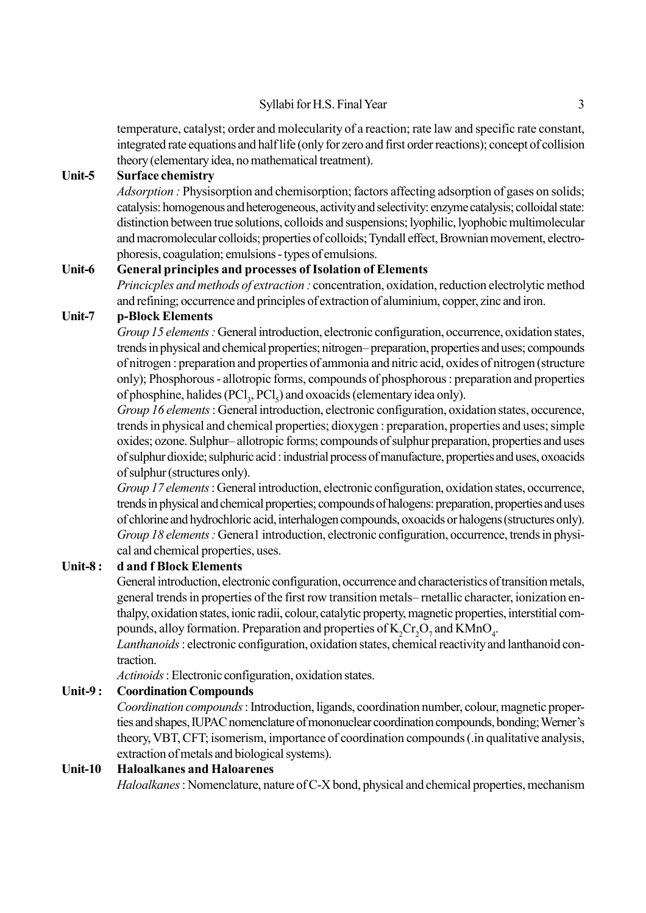temperature, catalyst; order and molecularity of a reaction; rate law and specific rate constant, integrated rate equations and half life (only for zero and first order reactions); concept of collision theory (elementary idea, no mathematical treatment).

#### **Unit-5 Surface chemistry**

*Adsorption :* Physisorption and chemisorption; factors affecting adsorption of gases on solids; catalysis: homogenous and heterogeneous, activity and selectivity: enzyme catalysis; colloidal state: distinction between true solutions, colloids and suspensions; lyophilic, lyophobic multimolecular and macromolecular colloids; properties of colloids; Tyndall effect, Brownian movement, electrophoresis, coagulation; emulsions - types of emulsions.

#### **Unit-6 General principles and processes of Isolation of Elements**

*Princicples and methods of extraction :* concentration, oxidation, reduction electrolytic method and refining; occurrence and principles of extraction of aluminium, copper, zinc and iron.

#### **Unit-7 p-Block Elements**

*Group 15 elements :* General introduction, electronic configuration, occurrence, oxidation states, trends in physical and chemical properties; nitrogen–preparation, properties and uses; compounds of nitrogen : preparation and properties of ammonia and nitric acid, oxides of nitrogen (structure only); Phosphorous - allotropic forms, compounds of phosphorous : preparation and properties of phosphine, halides  $(PCl_3, PCl_5)$  and oxoacids (elementary idea only).

*Group 16 elements* : General introduction, electronic configuration, oxidation states, occurence, trends in physical and chemical properties; dioxygen : preparation, properties and uses; simple oxides; ozone. Sulphur–allotropic forms; compounds of sulphur preparation, properties and uses of sulphur dioxide; sulphuric acid : industrial process of manufacture, properties and uses, oxoacids of sulphur (structures only).

*Group 17 elements* : General introduction, electronic configuration, oxidation states, occurrence, trends in physical and chemical properties; compounds of halogens: preparation, properties and uses of chlorine and hydrochloric acid, interhalogen compounds, oxoacids or halogens (structures only). *Group 18 elements : General introduction, electronic configuration, occurrence, trends in physi*cal and chemical properties, uses.

#### **Unit-8 : d and f Block Elements**

General introduction, electronic configuration, occurrence and characteristics of transition metals, general trends in properties of the first row transition metals—metallic character, ionization enthalpy, oxidation states, ionic radii, colour, catalytic property, magnetic properties, interstitial compounds, alloy formation. Preparation and properties of  $K_2Cr_2O_7$  and  $K MnO_4$ .

*Lanthanoids* : electronic configuration, oxidation states, chemical reactivity and lanthanoid contraction.

*Actinoids* : Electronic configuration, oxidation states.

#### **Unit-9 : Coordination Compounds**

*Coordination compounds* : Introduction, ligands, coordination number, colour, magnetic properties and shapes, IUPAC nomenclature of mononuclear coordination compounds, bonding; Werner's theory, VBT, CFT; isomerism, importance of coordination compounds (.in qualitative analysis, extraction of metals and biological systems).

#### **Unit-10 Haloalkanes and Haloarenes**

*Haloalkanes* : Nomenclature, nature of C-X bond, physical and chemical properties, mechanism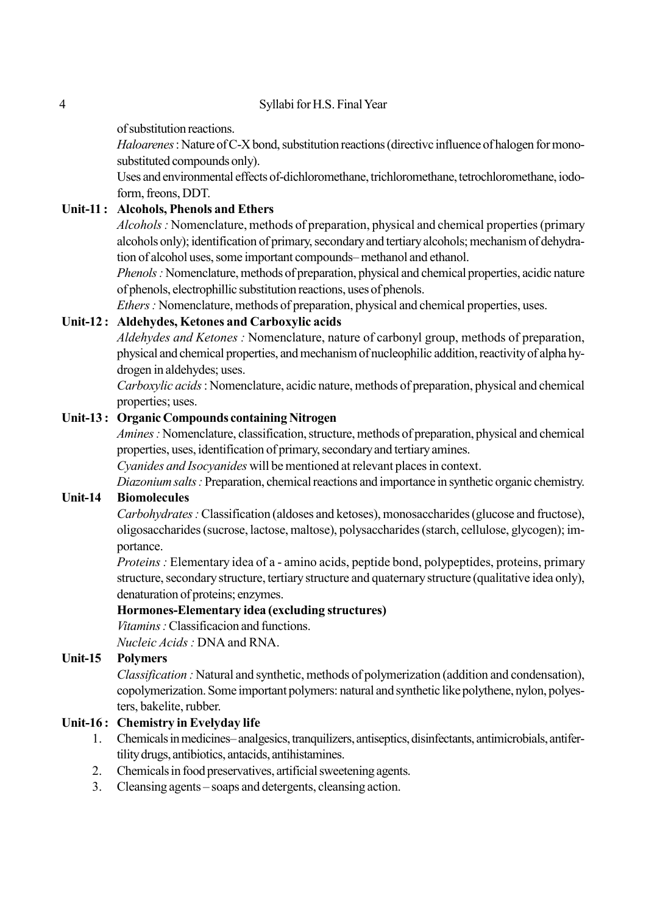of substitution reactions.

*Haloarenes* : Nature of C-X bond, substitution reactions (directivc influence of halogen for monosubstituted compounds only).

Uses and environmental effects of-dichloromethane, trichloromethane, tetrochloromethane, iodoform, freons, DDT.

#### **Unit-11 : Alcohols, Phenols and Ethers**

*Alcohols :* Nomenclature, methods of preparation, physical and chemical properties (primary alcohols only); identification of primary, secondary and tertiary alcohols; mechanism of dehydration of alcohol uses, some important compounds—methanol and ethanol.

*Phenols :* Nomenclature, methods of preparation, physical and chemical properties, acidic nature of phenols, electrophillic substitution reactions, uses of phenols.

*Ethers :* Nomenclature, methods of preparation, physical and chemical properties, uses.

#### **Unit-12 : Aldehydes, Ketones and Carboxylic acids**

*Aldehydes and Ketones :* Nomenclature, nature of carbonyl group, methods of preparation, physical and chemical properties, and mechanism of nucleophilic addition, reactivity of alpha hydrogen in aldehydes; uses.

*Carboxylic acids* : Nomenclature, acidic nature, methods of preparation, physical and chemical properties; uses.

#### **Unit-13 : Organic Compounds containing Nitrogen**

*Amines :* Nomenclature, classification, structure, methods of preparation, physical and chemical properties, uses, identification of primary, secondary and tertiary amines.

*Cyanides and Isocyanides* will be mentioned at relevant places in context.

*Diazonium salts :* Preparation, chemical reactions and importance in synthetic organic chemistry.

#### **Unit-14 Biomolecules**

*Carbohydrates :* Classification (aldoses and ketoses), monosaccharides (glucose and fructose), oligosaccharides (sucrose, lactose, maltose), polysaccharides (starch, cellulose, glycogen); importance.

*Proteins :* Elementary idea of a - amino acids, peptide bond, polypeptides, proteins, primary structure, secondary structure, tertiary structure and quaternary structure (qualitative idea only), denaturation of proteins; enzymes.

#### **Hormones-Elementary idea (excluding structures)**

*Vitamins :* Classificacion and functions.

*Nucleic Acids :* DNA and RNA.

#### **Unit-15 Polymers**

*Classification :* Natural and synthetic, methods of polymerization (addition and condensation), copolymerization. Some important polymers: natural and synthetic like polythene, nylon, polyesters, bakelite, rubber.

#### **Unit-16 : Chemistry in Evelyday life**

- 1. Chemicals in medicines—analgesics, tranquilizers, antiseptics, disinfectants, antimicrobials, antifertility drugs, antibiotics, antacids, antihistamines.
- 2. Chemicals in food preservatives, artificial sweetening agents.
- 3. Cleansing agents soaps and detergents, cleansing action.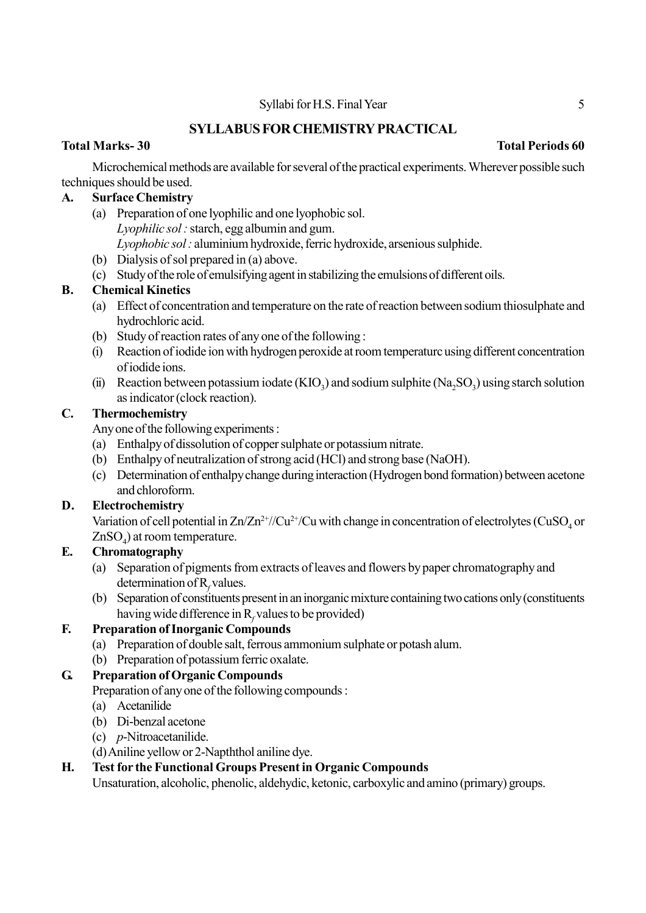# **SYLLABUS FOR CHEMISTRY PRACTICAL**

### **Total Marks- 30 Total Periods 60**

Microchemical methods are available for several of the practical experiments. Wherever possible such techniques should be used.

# **A. Surface Chemistry**

- (a) Preparation of one lyophilic and one lyophobic sol. *Lyophilic sol :* starch, egg albumin and gum. *Lyophobic sol :* aluminium hydroxide, ferric hydroxide, arsenious sulphide.
- (b) Dialysis of sol prepared in (a) above.
- (c) Study of the role of emulsifying agent in stabilizing the emulsions of different oils.

### **B. Chemical Kinetics**

- (a) Effect of concentration and temperature on the rate of reaction between sodium thiosulphate and hydrochloric acid.
- (b) Study of reaction rates of any one of the following :
- (i) Reaction of iodide ion with hydrogen peroxide at room temperaturc using different concentration of iodide ions.
- (ii) Reaction between potassium iodate  $(KIO_3)$  and sodium sulphite  $(Na_2SO_3)$  using starch solution as indicator (clock reaction).

#### **C. Thermochemistry**

Any one of the following experiments :

- (a) Enthalpy of dissolution of copper sulphate or potassium nitrate.
- (b) Enthalpy of neutralization of strong acid (HCl) and strong base (NaOH).
- (c) Determination of enthalpy change during interaction (Hydrogen bond formation) between acetone and chloroform.

# **D. Electrochemistry**

Variation of cell potential in  $Zn/Zn^{2+}/Cu^{2+}/Cu$  with change in concentration of electrolytes (CuSO<sub>4</sub> or  $ZnSO_4$ ) at room temperature.

#### **E. Chromatography**

- (a) Separation of pigments from extracts of leaves and flowers by paper chromatography and determination of R<sub>f</sub> values.
- (b) Separation of constituents present in an inorganic mixture containing two cations only (constituents having wide difference in  $R_f$  values to be provided)

# **F. Preparation of Inorganic Compounds**

- (a) Preparation of double salt, ferrous ammonium sulphate or potash alum.
- (b) Preparation of potassium ferric oxalate.

# **G. Preparation of Organic Compounds**

Preparation of any one of the following compounds :

- (a) Acetanilide
- (b) Di-benzal acetone
- (c) *p*-Nitroacetanilide.

(d) Aniline yellow or 2-Napththol aniline dye.

#### **H. Test for the Functional Groups Present in Organic Compounds**

Unsaturation, alcoholic, phenolic, aldehydic, ketonic, carboxylic and amino (primary) groups.